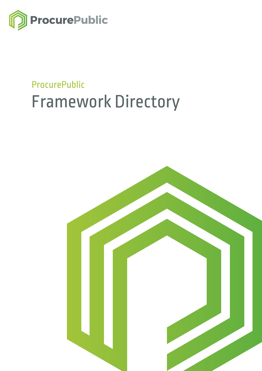

## Framework Directory **ProcurePublic**

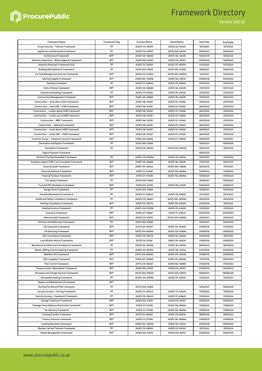

### Framework Directory

Version:2022 Q1

| <b>Framework Name</b>                                 | <b>Framework Flag</b> | <b>Contract Notice</b> | <b>Award Notice</b> | <b>Start Date</b> | <b>End Date</b> |
|-------------------------------------------------------|-----------------------|------------------------|---------------------|-------------------|-----------------|
| <b>Access Security - Telecare Framework</b>           | PP                    | 2020/S 115-280591      | 2020/S 222-547367   | 15/11/2020        | 15/12/2024      |
| Appliances and Electricals Framework                  | PP                    | 2020/S 234-578977      | 2021/S 008-015390   | 04/01/2021        | 04/01/2025      |
| Architectural Framework                               | <b>NFP</b>            | 2018/S 148-338848      | 2019/S 146-360145   | 15/05/2019        | 14/05/2023      |
| Asbestos Inspections - Water Hygiene Framework        | <b>NFP</b>            | 2019/S 056-129781      | 2019/S 078-187557   | 01/05/2019        | 30/04/2023      |
| Asbestos Removals Framework 2020                      | PP                    | 2020/S 115-280591      | 2020/S 237-587003   | 01/12/2020        | 01/12/2024      |
| <b>Building Refurbishment Framework</b>               | PP                    | 2021/S 000-07869       | 2021/S 000-013560   | 15/06/2021        | 15/06/2025      |
| Car Park Management Services Framework                | <b>NFP</b>            | 2020/S 232-573905      | 2021/S 000-004939   | 11/03/2021        | 10/03/2025      |
| <b>Catering Supplies Framework</b>                    | <b>NFP</b>            | 2018/S 063-139008      | 2018/S 100-229124   | 01/06/2018        | 30/05/2022      |
| <b>Cleaning Framework</b>                             | PP                    | 2020/S177-428630       | 2020/S 215-528610   | 02/11/2020        | 02/11/2024      |
| <b>Clerk of Works Framework</b>                       | <b>NFP</b>            | 2018/S 148-338848      | 2019/S 146-360145   | 31/07/2019        | 30/07/2023      |
| <b>Commercial Heating Framework</b>                   | PP                    | 2020/S 173-419262      | 2020/S 251-634326   | 22/12/2020        | 22/12/2020      |
| <b>Construction Management Framework</b>              | <b>NFP</b>            | 2018/S 148-338848      | 2019/S 146-360145   | 31/07/2019        | 30/07/2023      |
|                                                       | <b>NFP</b>            |                        |                     |                   |                 |
| Construction - Kent above £10m Framework              |                       | 2019/S 148-363391      | 2020/S 017-035422   | 24/01/2020        | 23/01/2024      |
| Construction - Kent £5M - £10M Framework              | <b>NFP</b>            | 2019/S 148-363391      | 2020/S 017-035422   | 24/01/2020        | 23/01/2024      |
| Construction - London above £10M Framework            | <b>NFP</b>            | 2019/S 148-363391      | 2020/S 017-035422   | 24/01/2020        | 23/01/2024      |
| Construction - London up to £10M Framework            | <b>NFP</b>            | 2019/S 148-363391      | 2020/S 017-035422   | 24/01/2020        | 23/01/2024      |
| Construction - MMC Framework                          | <b>NFP</b>            | 2019/S 148-363391      | 2020/S 017-035422   | 24/01/2020        | 23/01/2024      |
| Construction - National Framework                     | <b>NFP</b>            | 2019/S 148-363391      | 2020/S 017-035422   | 24/01/2020        | 23/01/2024      |
| Construction - South above £10M Framework             | <b>NFP</b>            | 2019/S 148-363391      | 2020/S 017-035422   | 24/01/2020        | 23/01/2024      |
| Construction - South £5M - £10M Framework             | <b>NFP</b>            | 2019/S 148-363391      | 2020/S 017-035422   | 24/01/2020        | 23/01/2024      |
| Customer Survey - Telephone Surveys Framework         | <b>NFP</b>            | 2018/S 244-558542      | 2019/S 071-168590   | 10/04/2019        | 31/03/2023      |
| Decoration and Repairs Framework                      | PP                    | 2021/S 000-07869       |                     | 15/06/2021        | 15/06/2025      |
| <b>Demolition Framework</b>                           | PP                    | 2020/S 235-581439      | 2021/S 000-000329   | 28/12/2020        | 28/12/2024      |
| Digital Payment Framework                             |                       |                        |                     | 30/03/2022        |                 |
| <b>Electrical Testing Remedials Framework</b>         | PP                    | 2020/S-224-551996      | 2020/S 251-634326   | 22/12/2020        | 22/12/2024      |
| <b>Employers Agent CDMC Cost Consultant Framework</b> | <b>NFP</b>            | 2018/S 148-338848      | 2019/S 146-360145   | 31/07/2019        | 30/07/2023      |
| <b>External Audit Framework</b>                       | <b>NFP</b>            | 2018/S 135-308360      | 2019/S 060-139690   | 26/03/2019        | 31/10/2023      |
| <b>Financial Advisory Framework</b>                   | <b>NFP</b>            | 2019/S 211-517049      | 2020/S 158-386966   | 17/08/2020        | 17/08/2024      |
| <b>Financial Analysis Framework</b>                   | <b>NFP</b>            | 2019/S 211-517049      | 2020/S 158-386966   | 17/08/2020        | 17/08/2024      |
| <b>Fire Safety Framework</b>                          | PP                    | 2021/S 000-07869       |                     | 15/06/2021        | 15/06/2025      |
| First Aid PPE Workwear Framework                      | <b>NFP</b>            | 2019/S 057-131138      | 2019/S 085-203541   | 01/05/2019        | 30/04/2023      |
|                                                       | PP                    | 2021/S 000-07869       |                     | 15/06/2021        | 15/06/2025      |
| Garage Doors Framework                                | PP                    |                        |                     |                   |                 |
| Grounds Maintenance Framework                         |                       | 2020/S 177-428630      | 2020/S 215-528610   | 02/11/2020        | 02/11/2024      |
| Health and Safety Compliance Framework                | PP                    | 2020/S 230-568427      | 2021/S 000-000052   | 29/12/2020        | 29/12/2024      |
| <b>Heating Consultancy Framework</b>                  | <b>NFP</b>            | 2018/S 130-296776      | 2018/S 190-430266   | 03/10/2018        | 30/11/2022      |
| <b>Heating Services Framework</b>                     | PP                    | 2020/S-224-551996      | 2020/S 251-634326   | 22/12/2020        | 22/12/2024      |
| <b>Insurance Framework</b>                            | <b>NFP</b>            | 2018/S 227-519567      | 2019/S 171-418074   | 05/09/2019        | 05/09/2023      |
| Internal Audit Framework                              | <b>NFP</b>            | 2020/S 212-520575      | 2021/S 000-008496   | 21/04/2021        | 21/04/2025      |
| Kitchens and Bathrooms Framework                      | PP                    | 2021/S 000-07869       |                     | 15/06/2021        | 15/06/2025      |
| <b>Lift Inspection Framework</b>                      | <b>NFP</b>            | 2017/S 243-506757      | 2018/S 159-365009   | 21/08/2018        | 31/03/2022      |
| <b>Lift Servicing Framework</b>                       | <b>NFP</b>            | 2017/S 034-060903      | 2020/S 076-181040   | 21/08/2018        | 20/08/2022      |
| Lifts Consultancy Framework                           | NFP                   | 2018/S 130-296776      | 2018/S 190-430266   | 03/10/2018        | 30/11/2022      |
| Lone Worker devices Framework                         | <b>NFP</b>            | 2017/S 110-221362      | 2018/S 159-364239   | 21/08/2018        | 20/08/2022      |
| Mechanical and Electrical Consultancy Framework       | PP                    | 2020/S 162-395348      | 2020/S 183-443188   | 18/09/2020        | 18/09/2024      |
| Meters, Billing, District Heating Framework           | PP                    | 2020/S 162-395350      | 2020/S 195-473224   | 02/10/2020        | 02/10/2024      |
| <b>Mobility Lifts Framework</b>                       | <b>NFP</b>            | 2017/S 034-060903      | 2020/S 076-181040   | 21/08/2018        | 20/08/2022      |
| <b>Office Supplies Framework</b>                      | <b>NFP</b>            | 2018/S 047-102868      | 2018/S 135-308006   | 17/07/2018        | 09/02/2022      |
| <b>Pest Control Framework</b>                         | <b>NFP</b>            | 2017/S 239-496307      | 2018/S 082-184840   | 27/04/2018        | 31/03/2022      |
| Pumps booster, Wastewater Framework                   | <b>NFP</b>            | 2019/S 056-129781      | 2019/S 078-187557   | 01/05/2019        | 30/04/2023      |
| Removals and Storage Services Framework               | <b>NFP</b>            | 2021/S 000-009324      | 2021/S 000-019574   | 09/08/2021        | 08/08/2025      |
| <b>Renewable Heating Framework</b>                    | PP                    | 2020/S-224-551996      | 2020/S 251-634326   | 22/12/2020        | 22/12/2024      |
|                                                       | <b>NFP</b>            |                        |                     |                   |                 |
| Repairs and Maintenance Framework                     |                       |                        |                     |                   |                 |
| Roofing Pitched and Flat Framework                    | PP                    | 2021/S 000-07869       |                     | 15/06/2021        | 15/06/2025      |
| Security Screens - Fencing Framework                  | PP                    | 2020/S 115-280633      | 2020/S 177-428629   | 11/09/2020        | 11/09/2024      |
| Security Services - Equipment Framework               | PP                    | 2020/S 115-280633      | 2020/S 177-428629   | 11/09/2020        | 11/09/2024      |
| Sewage Treatment Framework                            | <b>NFP</b>            | 2019/S 056-129781      | 2019/S 078-187557   | 01/05/2019        | 30/04/2023      |
| Strategic Asset Advisory Real Estate Framework        | <b>NFP</b>            | 2019/S 211-517049      | 2020/S 158-386966   | 17/08/2020        | 17/08/2024      |
| <b>Tax Advisory Framework</b>                         | <b>NFP</b>            | 2019/S 211-517049      | 2020/S 158-386966   | 17/08/2020        | 17/08/2024      |
| <b>Training Provider Framework</b>                    | <b>NFP</b>            | 2017/S 215-446907      | 2018/S 179-406195   | 18/09/2018        | 18/09/2022      |
| <b>Treasury Services Framework</b>                    | <b>NFP</b>            | 2019/S 211-517049      | 2020/S 158-386966   | 17/08/2020        | 17/08/2024      |
| <b>Vending Machines Framework</b>                     | <b>NFP</b>            | 2018/S 063-139008      | 2018/S 100-229124   | 30/05/2018        | 30/05/2022      |
| Warden Call and Telecare Framework                    | PP                    | 2020/S 115-280591      | 2020/S 222-547367   | 15/11/2020        | 15/12/2024      |
| <b>Waste Management Framework</b>                     | <b>NFP</b>            | 2019/S 056-129781      | 2019/S 078-187557   | 01/05/2019        | 30/04/2023      |
|                                                       |                       |                        |                     |                   |                 |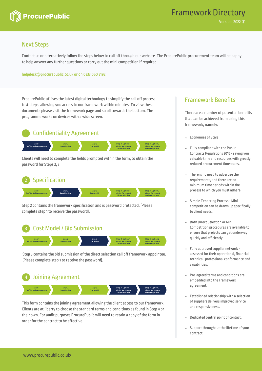

### Next Steps

Contact us or alternatively follow the steps below to call off through our website. The ProcurePublic procurement team will be happy to help answer any further questions or carry out the mini competition if required.

helpdesk@procurepublic.co.uk or on [0333](tel:03330503192) 050 [3192](tel:03330503192)

ProcurePublic utilises the latest digital technology to simplify the call off process to 4-steps, allowing you accessto our framework within minutes. To view these documents please visit the framework page and scroll towards the bottom. The programme works on devices with a wide screen.

### **Confidentiality Agreement**



Clients will need to complete the fields prompted within the form, to obtain the password for Steps 2, 3.

#### **Specification** Step 2<br>Specification Step 3<br>Cost Mode oining Agree

Step 2 contains the framework specification and is password protected. [Please complete step 1 to receive the password).

# 3 Cost Model / Bid Submission

Step 3 contains the bid submission of the direct selection call off framework appointee. (Please complete step 1 to receive the password).



This form contains the joining agreement allowing the client access to our framework. Clients are at liberty to choose the standard terms and conditions asfound in Step 4 or their own. For audit purposes ProcurePublic will need to retain a copy of the form in order for the contract to be effective.

### Framework Benefits

There are a number of potential benefits that can be achieved from using this framework, namely:

- Economies of Scale
- Fully compliant with the Public Contracts Regulations 2015 - saving you valuable time and resources with greatly reduced procurement timescales.
- There is no need to advertise the requirements, and there are no minimum time periods within the processto which you must adhere.
- Simple Tendering Process- Mini competition can be drawn up specifically to client needs.
- Both Direct Selection or Mini Competition procedures are available to ensure that projects can get underway quickly and efficiently.
- Fully approved supplier network assessed for their operational, financial, technical, professional conformance and capabilities.
- Pre-agreed terms and conditions are embedded into the Framework agreement.
- Established relationship with a selection of suppliers delivers improved service and responsiveness.
- Dedicated central point of contact.
- Support throughout the lifetime of your contract